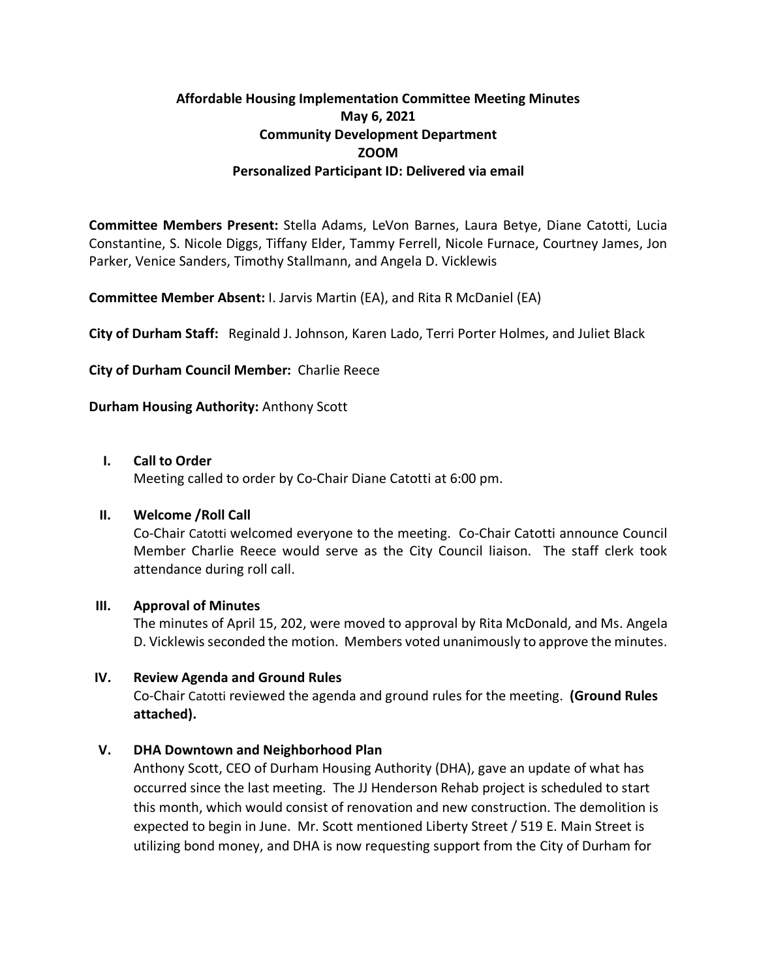# **Affordable Housing Implementation Committee Meeting Minutes May 6, 2021 Community Development Department ZOOM Personalized Participant ID: Delivered via email**

**Committee Members Present:** Stella Adams, LeVon Barnes, Laura Betye, Diane Catotti, Lucia Constantine, S. Nicole Diggs, Tiffany Elder, Tammy Ferrell, Nicole Furnace, Courtney James, Jon Parker, Venice Sanders, Timothy Stallmann, and Angela D. Vicklewis

**Committee Member Absent:** I. Jarvis Martin (EA), and Rita R McDaniel (EA)

**City of Durham Staff:** Reginald J. Johnson, Karen Lado, Terri Porter Holmes, and Juliet Black

**City of Durham Council Member:** Charlie Reece

**Durham Housing Authority:** Anthony Scott

### **I. Call to Order**

Meeting called to order by Co-Chair Diane Catotti at 6:00 pm.

### **II. Welcome /Roll Call**

Co-Chair Catotti welcomed everyone to the meeting. Co-Chair Catotti announce Council Member Charlie Reece would serve as the City Council liaison. The staff clerk took attendance during roll call.

### **III. Approval of Minutes**

The minutes of April 15, 202, were moved to approval by Rita McDonald, and Ms. Angela D. Vicklewis seconded the motion. Members voted unanimously to approve the minutes.

### **IV. Review Agenda and Ground Rules**

Co-Chair Catotti reviewed the agenda and ground rules for the meeting. **(Ground Rules attached).**

# **V. DHA Downtown and Neighborhood Plan**

Anthony Scott, CEO of Durham Housing Authority (DHA), gave an update of what has occurred since the last meeting. The JJ Henderson Rehab project is scheduled to start this month, which would consist of renovation and new construction. The demolition is expected to begin in June. Mr. Scott mentioned Liberty Street / 519 E. Main Street is utilizing bond money, and DHA is now requesting support from the City of Durham for